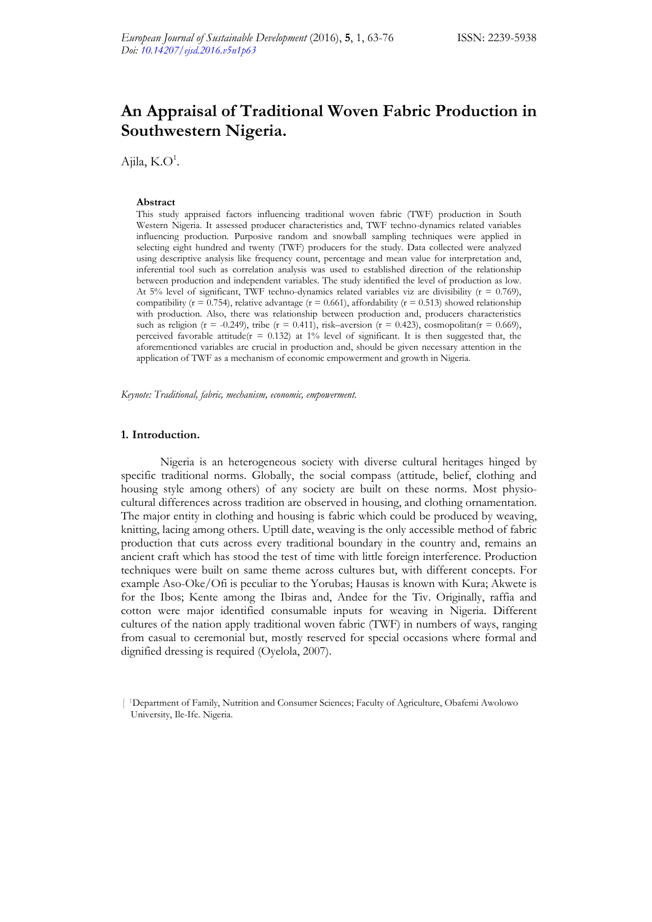# **An Appraisal of Traditional Woven Fabric Production in Southwestern Nigeria.**

Ajila,  $K.O^1$ .

#### **Abstract**

This study appraised factors influencing traditional woven fabric (TWF) production in South Western Nigeria. It assessed producer characteristics and, TWF techno-dynamics related variables influencing production. Purposive random and snowball sampling techniques were applied in selecting eight hundred and twenty (TWF) producers for the study. Data collected were analyzed using descriptive analysis like frequency count, percentage and mean value for interpretation and, inferential tool such as correlation analysis was used to established direction of the relationship between production and independent variables. The study identified the level of production as low. At 5% level of significant, TWF techno-dynamics related variables viz are divisibility  $(r = 0.769)$ , compatibility ( $r = 0.754$ ), relative advantage ( $r = 0.661$ ), affordability ( $r = 0.513$ ) showed relationship with production. Also, there was relationship between production and, producers characteristics such as religion (r = -0.249), tribe (r = 0.411), risk–aversion (r = 0.423), cosmopolitan(r = 0.669), perceived favorable attitude( $r = 0.132$ ) at 1% level of significant. It is then suggested that, the aforementioned variables are crucial in production and, should be given necessary attention in the application of TWF as a mechanism of economic empowerment and growth in Nigeria.

*Keynote: Traditional, fabric, mechanism, economic, empowerment.* 

#### **1. Introduction.**

Nigeria is an heterogeneous society with diverse cultural heritages hinged by specific traditional norms. Globally, the social compass (attitude, belief, clothing and housing style among others) of any society are built on these norms. Most physiocultural differences across tradition are observed in housing, and clothing ornamentation. The major entity in clothing and housing is fabric which could be produced by weaving, knitting, lacing among others. Uptill date, weaving is the only accessible method of fabric production that cuts across every traditional boundary in the country and, remains an ancient craft which has stood the test of time with little foreign interference. Production techniques were built on same theme across cultures but, with different concepts. For example Aso-Oke/Ofi is peculiar to the Yorubas; Hausas is known with Kura; Akwete is for the Ibos; Kente among the Ibiras and, Andee for the Tiv. Originally, raffia and cotton were major identified consumable inputs for weaving in Nigeria. Different cultures of the nation apply traditional woven fabric (TWF) in numbers of ways, ranging from casual to ceremonial but, mostly reserved for special occasions where formal and dignified dressing is required (Oyelola, 2007).

<sup>| 1</sup>Department of Family, Nutrition and Consumer Sciences; Faculty of Agriculture, Obafemi Awolowo University, Ile-Ife. Nigeria.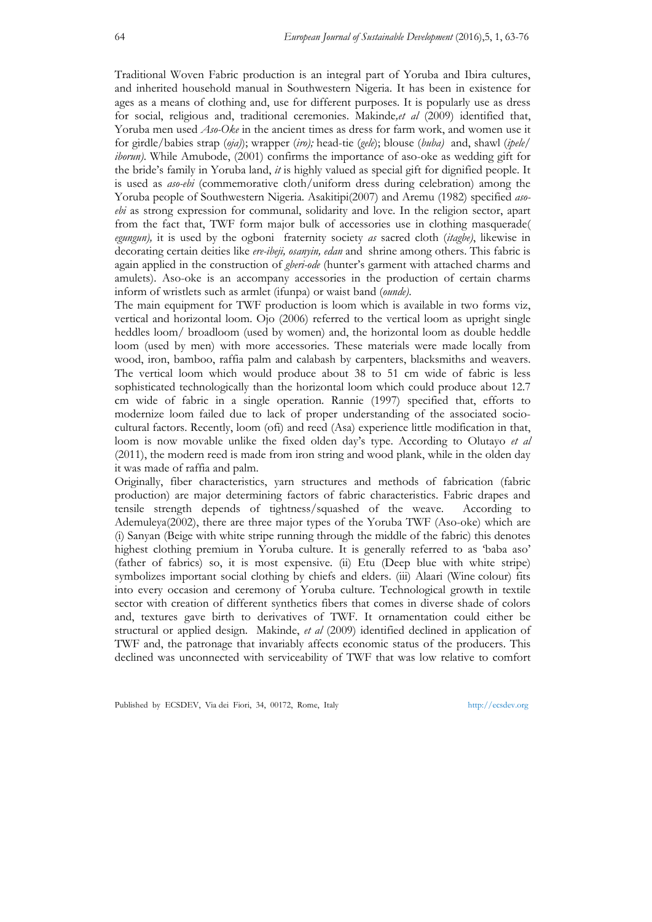Traditional Woven Fabric production is an integral part of Yoruba and Ibira cultures, and inherited household manual in Southwestern Nigeria. It has been in existence for ages as a means of clothing and, use for different purposes. It is popularly use as dress for social, religious and, traditional ceremonies. Makinde*,et al* (2009) identified that, Yoruba men used *Aso-Oke* in the ancient times as dress for farm work, and women use it for girdle/babies strap (*oja)*); wrapper (*iro);* head-tie (*gele*); blouse (*buba)* and, shawl (*ipele/ iborun*). While Amubode, (2001) confirms the importance of aso-oke as wedding gift for the bride's family in Yoruba land, *it* is highly valued as special gift for dignified people. It is used as *aso-ebi* (commemorative cloth/uniform dress during celebration) among the Yoruba people of Southwestern Nigeria. Asakitipi(2007) and Aremu (1982) specified *asoebi* as strong expression for communal, solidarity and love. In the religion sector, apart from the fact that, TWF form major bulk of accessories use in clothing masquerade( *egungun),* it is used by the ogboni fraternity society *as* sacred cloth (*itagbe)*, likewise in decorating certain deities like *ere-ibeji, osanyin, edan* and shrine among others. This fabric is again applied in the construction of *gberi-ode* (hunter's garment with attached charms and amulets). Aso-oke is an accompany accessories in the production of certain charms inform of wristlets such as armlet (ifunpa) or waist band (*ounde)*.

The main equipment for TWF production is loom which is available in two forms viz, vertical and horizontal loom. Ojo (2006) referred to the vertical loom as upright single heddles loom/ broadloom (used by women) and, the horizontal loom as double heddle loom (used by men) with more accessories. These materials were made locally from wood, iron, bamboo, raffia palm and calabash by carpenters, blacksmiths and weavers. The vertical loom which would produce about 38 to 51 cm wide of fabric is less sophisticated technologically than the horizontal loom which could produce about 12.7 cm wide of fabric in a single operation. Rannie (1997) specified that, efforts to modernize loom failed due to lack of proper understanding of the associated sociocultural factors. Recently, loom (ofi) and reed (Asa) experience little modification in that, loom is now movable unlike the fixed olden day's type. According to Olutayo *et al* (2011), the modern reed is made from iron string and wood plank, while in the olden day it was made of raffia and palm.

Originally, fiber characteristics, yarn structures and methods of fabrication (fabric production) are major determining factors of fabric characteristics. Fabric drapes and tensile strength depends of tightness/squashed of the weave. According to Ademuleya(2002), there are three major types of the Yoruba TWF (Aso-oke) which are (i) Sanyan (Beige with white stripe running through the middle of the fabric) this denotes highest clothing premium in Yoruba culture. It is generally referred to as 'baba aso' (father of fabrics) so, it is most expensive. (ii) Etu (Deep blue with white stripe) symbolizes important social clothing by chiefs and elders. (iii) Alaari (Wine colour) fits into every occasion and ceremony of Yoruba culture. Technological growth in textile sector with creation of different synthetics fibers that comes in diverse shade of colors and, textures gave birth to derivatives of TWF. It ornamentation could either be structural or applied design. Makinde, *et al* (2009) identified declined in application of TWF and, the patronage that invariably affects economic status of the producers. This declined was unconnected with serviceability of TWF that was low relative to comfort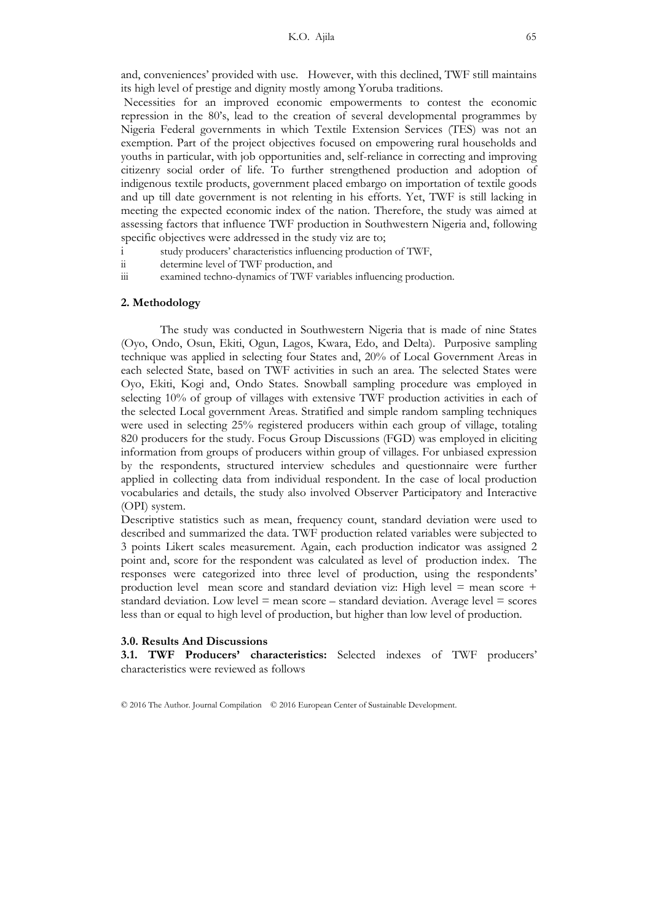and, conveniences' provided with use. However, with this declined, TWF still maintains its high level of prestige and dignity mostly among Yoruba traditions.

Necessities for an improved economic empowerments to contest the economic repression in the 80's, lead to the creation of several developmental programmes by Nigeria Federal governments in which Textile Extension Services (TES) was not an exemption. Part of the project objectives focused on empowering rural households and youths in particular, with job opportunities and, self-reliance in correcting and improving citizenry social order of life. To further strengthened production and adoption of indigenous textile products, government placed embargo on importation of textile goods and up till date government is not relenting in his efforts. Yet, TWF is still lacking in meeting the expected economic index of the nation. Therefore, the study was aimed at assessing factors that influence TWF production in Southwestern Nigeria and, following specific objectives were addressed in the study viz are to;

- i study producers' characteristics influencing production of TWF,
- ii determine level of TWF production, and
- iii examined techno-dynamics of TWF variables influencing production.

#### **2. Methodology**

The study was conducted in Southwestern Nigeria that is made of nine States (Oyo, Ondo, Osun, Ekiti, Ogun, Lagos, Kwara, Edo, and Delta). Purposive sampling technique was applied in selecting four States and, 20% of Local Government Areas in each selected State, based on TWF activities in such an area. The selected States were Oyo, Ekiti, Kogi and, Ondo States. Snowball sampling procedure was employed in selecting 10% of group of villages with extensive TWF production activities in each of the selected Local government Areas. Stratified and simple random sampling techniques were used in selecting 25% registered producers within each group of village, totaling 820 producers for the study. Focus Group Discussions (FGD) was employed in eliciting information from groups of producers within group of villages. For unbiased expression by the respondents, structured interview schedules and questionnaire were further applied in collecting data from individual respondent. In the case of local production vocabularies and details, the study also involved Observer Participatory and Interactive (OPI) system.

Descriptive statistics such as mean, frequency count, standard deviation were used to described and summarized the data. TWF production related variables were subjected to 3 points Likert scales measurement. Again, each production indicator was assigned 2 point and, score for the respondent was calculated as level of production index. The responses were categorized into three level of production, using the respondents' production level mean score and standard deviation viz: High level = mean score + standard deviation. Low level  $=$  mean score  $-$  standard deviation. Average level  $=$  scores less than or equal to high level of production, but higher than low level of production.

#### **3.0. Results And Discussions**

**3.1. TWF Producers' characteristics:** Selected indexes of TWF producers' characteristics were reviewed as follows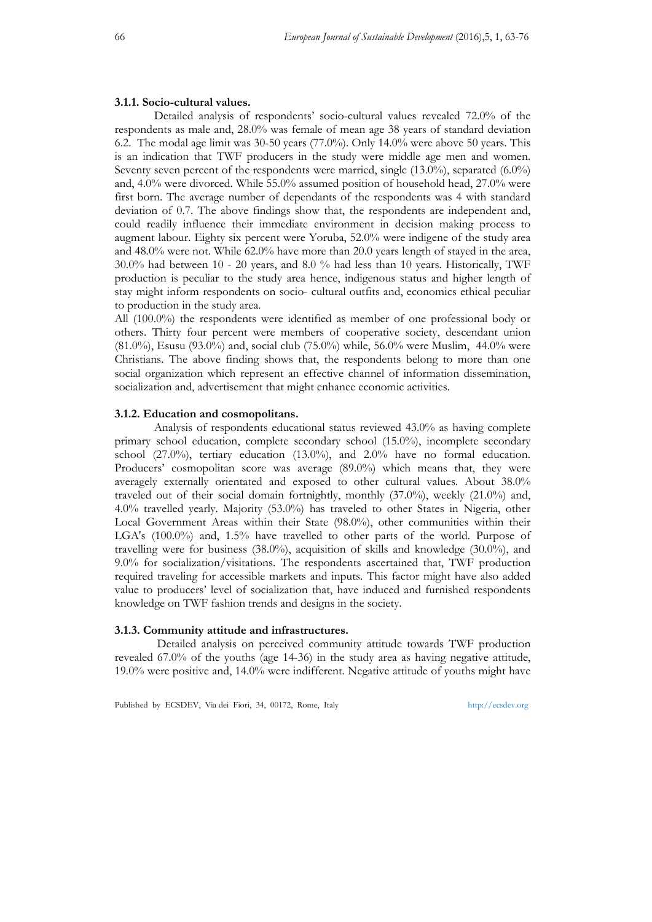## **3.1.1. Socio-cultural values.**

 Detailed analysis of respondents' socio-cultural values revealed 72.0% of the respondents as male and, 28.0% was female of mean age 38 years of standard deviation 6.2. The modal age limit was 30-50 years (77.0%). Only 14.0% were above 50 years. This is an indication that TWF producers in the study were middle age men and women. Seventy seven percent of the respondents were married, single (13.0%), separated (6.0%) and, 4.0% were divorced. While 55.0% assumed position of household head, 27.0% were first born. The average number of dependants of the respondents was 4 with standard deviation of 0.7. The above findings show that, the respondents are independent and, could readily influence their immediate environment in decision making process to augment labour. Eighty six percent were Yoruba, 52.0% were indigene of the study area and 48.0% were not. While 62.0% have more than 20.0 years length of stayed in the area, 30.0% had between 10 - 20 years, and 8.0 % had less than 10 years. Historically, TWF production is peculiar to the study area hence, indigenous status and higher length of stay might inform respondents on socio- cultural outfits and, economics ethical peculiar to production in the study area.

All (100.0%) the respondents were identified as member of one professional body or others. Thirty four percent were members of cooperative society, descendant union (81.0%), Esusu (93.0%) and, social club (75.0%) while, 56.0% were Muslim, 44.0% were Christians. The above finding shows that, the respondents belong to more than one social organization which represent an effective channel of information dissemination, socialization and, advertisement that might enhance economic activities.

## **3.1.2. Education and cosmopolitans.**

Analysis of respondents educational status reviewed 43.0% as having complete primary school education, complete secondary school (15.0%), incomplete secondary school (27.0%), tertiary education (13.0%), and 2.0% have no formal education. Producers' cosmopolitan score was average (89.0%) which means that, they were averagely externally orientated and exposed to other cultural values. About 38.0% traveled out of their social domain fortnightly, monthly (37.0%), weekly (21.0%) and, 4.0% travelled yearly. Majority (53.0%) has traveled to other States in Nigeria, other Local Government Areas within their State (98.0%), other communities within their LGA's (100.0%) and, 1.5% have travelled to other parts of the world. Purpose of travelling were for business  $(38.0\%)$ , acquisition of skills and knowledge  $(30.0\%)$ , and 9.0% for socialization/visitations. The respondents ascertained that, TWF production required traveling for accessible markets and inputs. This factor might have also added value to producers' level of socialization that, have induced and furnished respondents knowledge on TWF fashion trends and designs in the society.

# **3.1.3. Community attitude and infrastructures.**

Detailed analysis on perceived community attitude towards TWF production revealed 67.0% of the youths (age 14-36) in the study area as having negative attitude, 19.0% were positive and, 14.0% were indifferent. Negative attitude of youths might have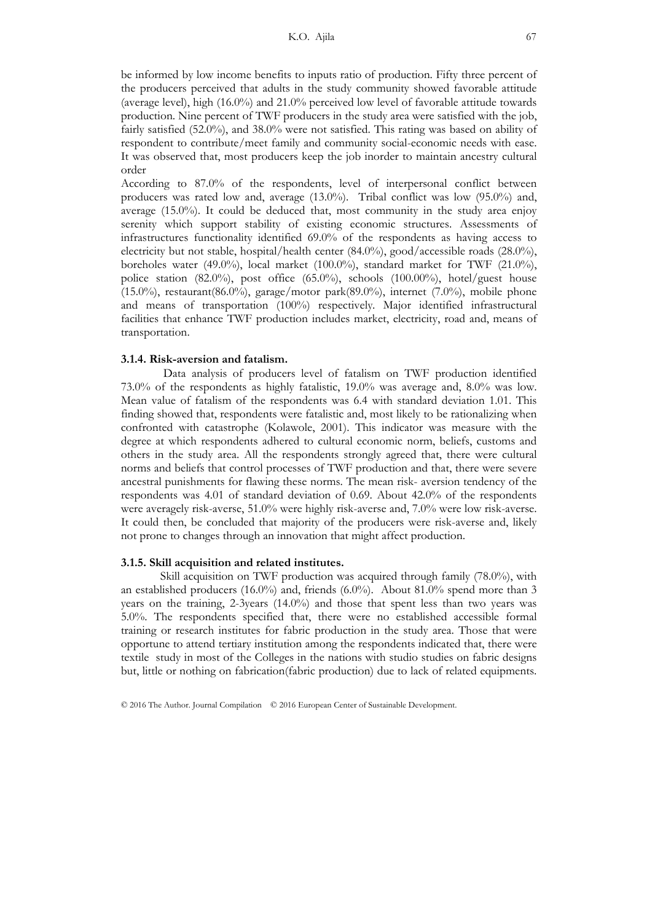be informed by low income benefits to inputs ratio of production. Fifty three percent of the producers perceived that adults in the study community showed favorable attitude (average level), high (16.0%) and 21.0% perceived low level of favorable attitude towards production. Nine percent of TWF producers in the study area were satisfied with the job, fairly satisfied (52.0%), and 38.0% were not satisfied. This rating was based on ability of respondent to contribute/meet family and community social-economic needs with ease. It was observed that, most producers keep the job inorder to maintain ancestry cultural order

According to 87.0% of the respondents, level of interpersonal conflict between producers was rated low and, average (13.0%). Tribal conflict was low (95.0%) and, average (15.0%). It could be deduced that, most community in the study area enjoy serenity which support stability of existing economic structures. Assessments of infrastructures functionality identified 69.0% of the respondents as having access to electricity but not stable, hospital/health center (84.0%), good/accessible roads (28.0%), boreholes water (49.0%), local market (100.0%), standard market for TWF (21.0%), police station (82.0%), post office (65.0%), schools (100.00%), hotel/guest house  $(15.0\%)$ , restaurant $(86.0\%)$ , garage/motor park $(89.0\%)$ , internet  $(7.0\%)$ , mobile phone and means of transportation (100%) respectively. Major identified infrastructural facilities that enhance TWF production includes market, electricity, road and, means of transportation.

#### **3.1.4. Risk-aversion and fatalism.**

 Data analysis of producers level of fatalism on TWF production identified 73.0% of the respondents as highly fatalistic, 19.0% was average and, 8.0% was low. Mean value of fatalism of the respondents was 6.4 with standard deviation 1.01. This finding showed that, respondents were fatalistic and, most likely to be rationalizing when confronted with catastrophe (Kolawole, 2001). This indicator was measure with the degree at which respondents adhered to cultural economic norm, beliefs, customs and others in the study area. All the respondents strongly agreed that, there were cultural norms and beliefs that control processes of TWF production and that, there were severe ancestral punishments for flawing these norms. The mean risk- aversion tendency of the respondents was 4.01 of standard deviation of 0.69. About 42.0% of the respondents were averagely risk-averse, 51.0% were highly risk-averse and, 7.0% were low risk-averse. It could then, be concluded that majority of the producers were risk-averse and, likely not prone to changes through an innovation that might affect production.

#### **3.1.5. Skill acquisition and related institutes.**

Skill acquisition on TWF production was acquired through family (78.0%), with an established producers (16.0%) and, friends (6.0%). About 81.0% spend more than 3 years on the training, 2-3years (14.0%) and those that spent less than two years was 5.0%. The respondents specified that, there were no established accessible formal training or research institutes for fabric production in the study area. Those that were opportune to attend tertiary institution among the respondents indicated that, there were textile study in most of the Colleges in the nations with studio studies on fabric designs but, little or nothing on fabrication(fabric production) due to lack of related equipments.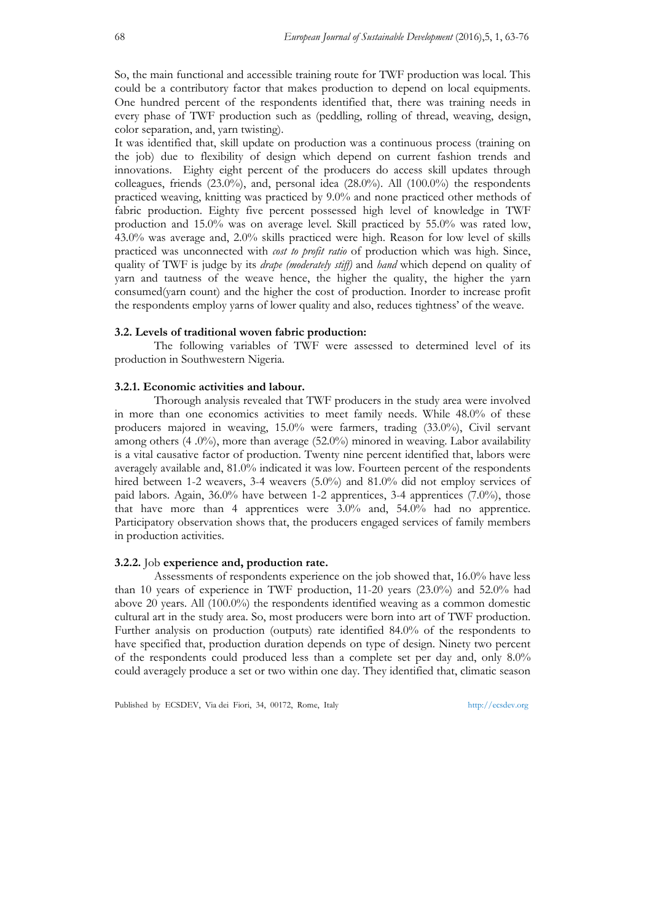So, the main functional and accessible training route for TWF production was local. This could be a contributory factor that makes production to depend on local equipments. One hundred percent of the respondents identified that, there was training needs in every phase of TWF production such as (peddling, rolling of thread, weaving, design, color separation, and, yarn twisting).

It was identified that, skill update on production was a continuous process (training on the job) due to flexibility of design which depend on current fashion trends and innovations. Eighty eight percent of the producers do access skill updates through colleagues, friends (23.0%), and, personal idea (28.0%). All (100.0%) the respondents practiced weaving, knitting was practiced by 9.0% and none practiced other methods of fabric production. Eighty five percent possessed high level of knowledge in TWF production and 15.0% was on average level. Skill practiced by 55.0% was rated low, 43.0% was average and, 2.0% skills practiced were high. Reason for low level of skills practiced was unconnected with *cost to profit ratio* of production which was high. Since, quality of TWF is judge by its *drape (moderately stiff)* and *hand* which depend on quality of yarn and tautness of the weave hence, the higher the quality, the higher the yarn consumed(yarn count) and the higher the cost of production. Inorder to increase profit the respondents employ yarns of lower quality and also, reduces tightness' of the weave.

## **3.2. Levels of traditional woven fabric production:**

The following variables of TWF were assessed to determined level of its production in Southwestern Nigeria.

#### **3.2.1. Economic activities and labour.**

Thorough analysis revealed that TWF producers in the study area were involved in more than one economics activities to meet family needs. While 48.0% of these producers majored in weaving, 15.0% were farmers, trading (33.0%), Civil servant among others (4 .0%), more than average (52.0%) minored in weaving. Labor availability is a vital causative factor of production. Twenty nine percent identified that, labors were averagely available and, 81.0% indicated it was low. Fourteen percent of the respondents hired between 1-2 weavers, 3-4 weavers (5.0%) and 81.0% did not employ services of paid labors. Again, 36.0% have between 1-2 apprentices, 3-4 apprentices (7.0%), those that have more than 4 apprentices were 3.0% and, 54.0% had no apprentice. Participatory observation shows that, the producers engaged services of family members in production activities.

# **3.2.2.** Job **experience and, production rate.**

Assessments of respondents experience on the job showed that, 16.0% have less than 10 years of experience in TWF production, 11-20 years (23.0%) and 52.0% had above 20 years. All (100.0%) the respondents identified weaving as a common domestic cultural art in the study area. So, most producers were born into art of TWF production. Further analysis on production (outputs) rate identified 84.0% of the respondents to have specified that, production duration depends on type of design. Ninety two percent of the respondents could produced less than a complete set per day and, only 8.0% could averagely produce a set or two within one day. They identified that, climatic season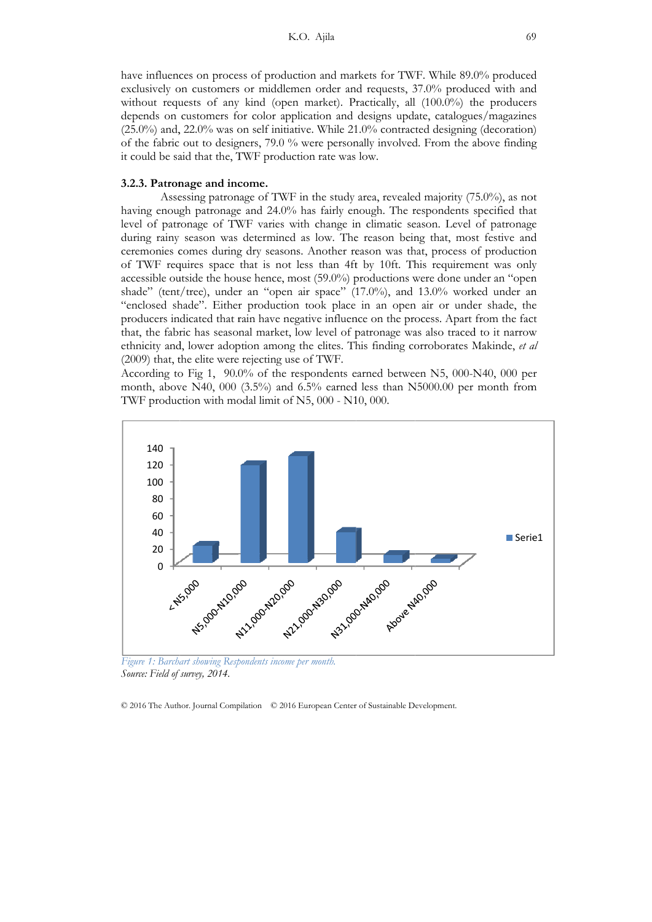have influences on process of production and markets for TWF. While 89.0% produced exclusively on customers or middlemen order and requests, 37.0% produced with and without requests of any kind (open market). Practically, all (100.0%) the producer depends on customers for color application and designs update, catalogues/magazines (25.0%) and, 22.0% was on self initiative. While 21.0% contracted designing (decoration) of the fabric out to designers, 79.0 % were personally involved. From the above finding it could be said that the, TWF production rate was low. i9<br>:d<br>rs ng<br>.ot

### 3.2.3. Patronage and income.

Assessing patronage of TWF in the study area, revealed majority (75.0%), as no having enough patronage and 24.0% has fairly enough. The respondents specified that level of patronage of TWF varies with change in climatic season. Level of patronage during rainy season was determined as low. The reason being that, most festive and ceremonies comes during dry seasons. Another reason was that, process of production of TWF requires space that is not less than 4ft by 10ft. This requirement was only accessible outside the house hence, most (59.0%) productions were done under an "open shade" (tent/tree), under an "open air space" (17.0%), and 13.0% worked under an "enclosed shade". Either production took place in an open air or under shade, the producers indicated that rain have negative influence on the process. Apart from the fac that, the fabric has seasonal market, low level of patronage was also traced to it narrow ethnicity and, lower adoption among the elites. This finding corroborates Makinde, et al (2009) that, the elite were rejecting use of TWF. ednd<br>only<br>en<br>an<br>ect

According to Fig 1, 90.0% of the respondents earned between N5, 000-N40, 000 per month, above N40, 000 (3.5%) and 6.5% earned less than N5000.00 per month from TWF production with modal limit of N5, 000 - N10, 000.



Figure 1: Barchart showing Respondents income per month. *Source: Field of f survey, 2014.*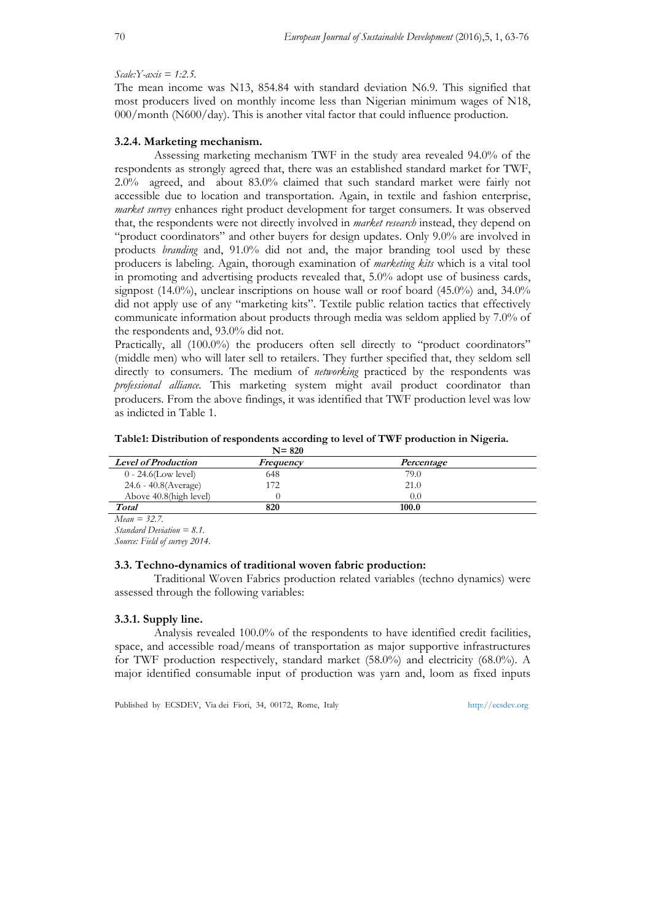*Scale:Y-axis = 1:2.5.* 

The mean income was N13, 854.84 with standard deviation N6.9. This signified that most producers lived on monthly income less than Nigerian minimum wages of N18, 000/month (N600/day). This is another vital factor that could influence production.

# **3.2.4. Marketing mechanism.**

Assessing marketing mechanism TWF in the study area revealed 94.0% of the respondents as strongly agreed that, there was an established standard market for TWF, 2.0% agreed, and about 83.0% claimed that such standard market were fairly not accessible due to location and transportation. Again, in textile and fashion enterprise, *market survey* enhances right product development for target consumers. It was observed that, the respondents were not directly involved in *market research* instead, they depend on "product coordinators" and other buyers for design updates. Only 9.0% are involved in products *branding* and, 91.0% did not and, the major branding tool used by these producers is labeling. Again, thorough examination of *marketing kits* which is a vital tool in promoting and advertising products revealed that, 5.0% adopt use of business cards, signpost  $(14.0\%)$ , unclear inscriptions on house wall or roof board  $(45.0\%)$  and,  $34.0\%$ did not apply use of any "marketing kits". Textile public relation tactics that effectively communicate information about products through media was seldom applied by 7.0% of the respondents and, 93.0% did not.

Practically, all (100.0%) the producers often sell directly to "product coordinators" (middle men) who will later sell to retailers. They further specified that, they seldom sell directly to consumers. The medium of *networking* practiced by the respondents was *professional alliance*. This marketing system might avail product coordinator than producers. From the above findings, it was identified that TWF production level was low as indicted in Table 1.

#### **Table1: Distribution of respondents according to level of TWF production in Nigeria. N= 820**

|                            | שצש יי    |            |  |
|----------------------------|-----------|------------|--|
| <b>Level of Production</b> | Frequency | Percentage |  |
| $0 - 24.6$ (Low level)     | 648       | 79.0       |  |
| 24.6 - 40.8(Average)       | 172       | 21.0       |  |
| Above 40.8(high level)     |           | 0.0        |  |
| Total                      | 820       | 100.0      |  |

*Mean = 32.7.* 

*Standard Deviation = 8.1.* 

*Source: Field of survey 2014.* 

#### **3.3. Techno-dynamics of traditional woven fabric production:**

Traditional Woven Fabrics production related variables (techno dynamics) were assessed through the following variables:

#### **3.3.1. Supply line.**

Analysis revealed 100.0% of the respondents to have identified credit facilities, space, and accessible road/means of transportation as major supportive infrastructures for TWF production respectively, standard market (58.0%) and electricity (68.0%). A major identified consumable input of production was yarn and, loom as fixed inputs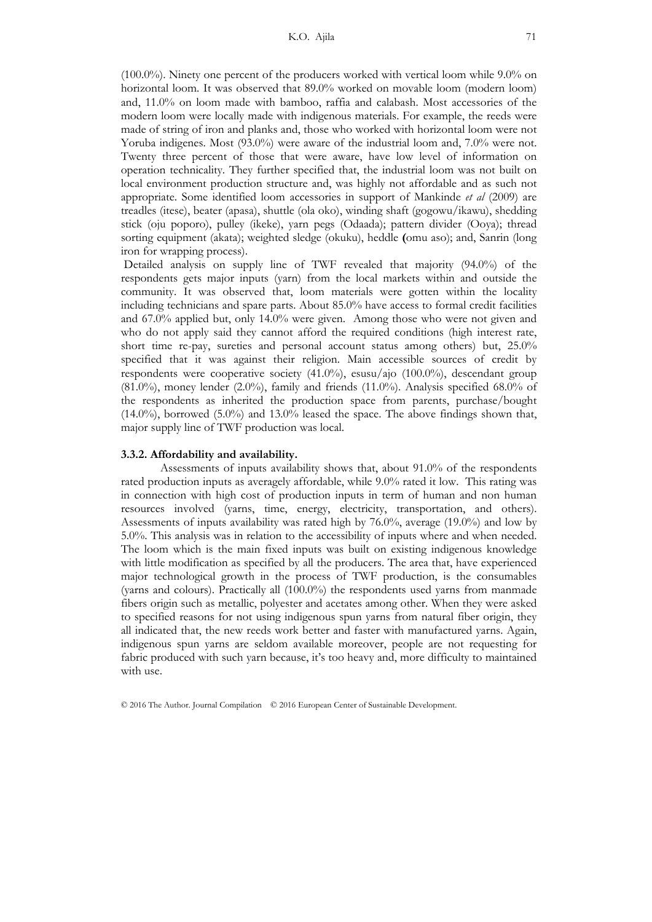(100.0%). Ninety one percent of the producers worked with vertical loom while 9.0% on horizontal loom. It was observed that 89.0% worked on movable loom (modern loom) and, 11.0% on loom made with bamboo, raffia and calabash. Most accessories of the modern loom were locally made with indigenous materials. For example, the reeds were made of string of iron and planks and, those who worked with horizontal loom were not Yoruba indigenes. Most (93.0%) were aware of the industrial loom and, 7.0% were not. Twenty three percent of those that were aware, have low level of information on operation technicality. They further specified that, the industrial loom was not built on local environment production structure and, was highly not affordable and as such not appropriate. Some identified loom accessories in support of Mankinde *et al* (2009) are treadles (itese), beater (apasa), shuttle (ola oko), winding shaft (gogowu/ikawu), shedding stick (oju poporo), pulley (ikeke), yarn pegs (Odaada); pattern divider (Ooya); thread sorting equipment (akata); weighted sledge (okuku), heddle **(**omu aso); and, Sanrin (long iron for wrapping process).

 Detailed analysis on supply line of TWF revealed that majority (94.0%) of the respondents gets major inputs (yarn) from the local markets within and outside the community. It was observed that, loom materials were gotten within the locality including technicians and spare parts. About 85.0% have access to formal credit facilities and 67.0% applied but, only 14.0% were given. Among those who were not given and who do not apply said they cannot afford the required conditions (high interest rate, short time re-pay, sureties and personal account status among others) but, 25.0% specified that it was against their religion. Main accessible sources of credit by respondents were cooperative society (41.0%), esusu/ajo (100.0%), descendant group  $(81.0\%)$ , money lender  $(2.0\%)$ , family and friends  $(11.0\%)$ . Analysis specified 68.0% of the respondents as inherited the production space from parents, purchase/bought  $(14.0\%)$ , borrowed  $(5.0\%)$  and  $13.0\%$  leased the space. The above findings shown that, major supply line of TWF production was local.

#### **3.3.2. Affordability and availability.**

Assessments of inputs availability shows that, about 91.0% of the respondents rated production inputs as averagely affordable, while 9.0% rated it low. This rating was in connection with high cost of production inputs in term of human and non human resources involved (yarns, time, energy, electricity, transportation, and others). Assessments of inputs availability was rated high by 76.0%, average (19.0%) and low by 5.0%. This analysis was in relation to the accessibility of inputs where and when needed. The loom which is the main fixed inputs was built on existing indigenous knowledge with little modification as specified by all the producers. The area that, have experienced major technological growth in the process of TWF production, is the consumables (yarns and colours). Practically all (100.0%) the respondents used yarns from manmade fibers origin such as metallic, polyester and acetates among other. When they were asked to specified reasons for not using indigenous spun yarns from natural fiber origin, they all indicated that, the new reeds work better and faster with manufactured yarns. Again, indigenous spun yarns are seldom available moreover, people are not requesting for fabric produced with such yarn because, it's too heavy and, more difficulty to maintained with use.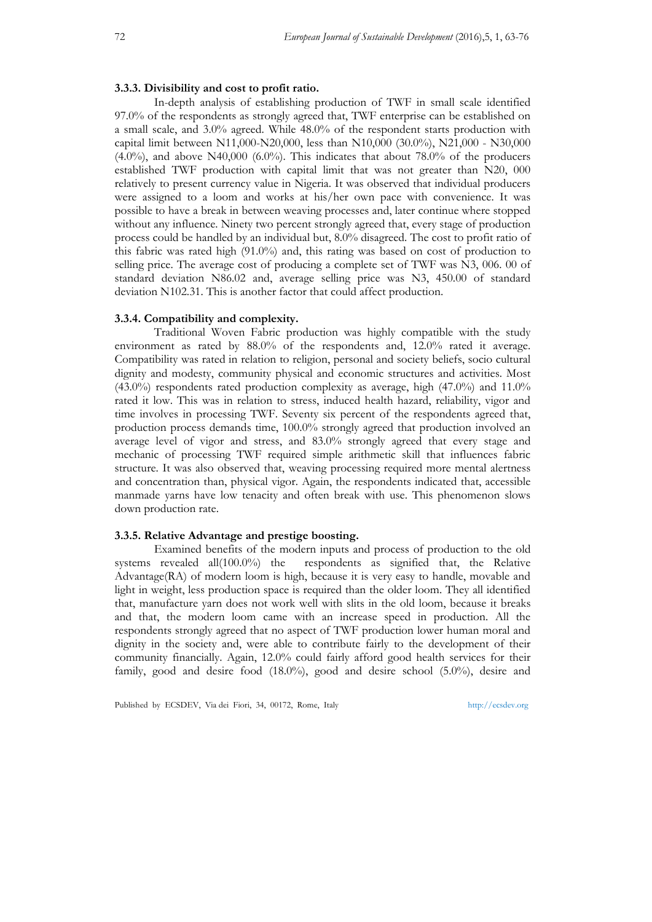#### **3.3.3. Divisibility and cost to profit ratio.**

In-depth analysis of establishing production of TWF in small scale identified 97.0% of the respondents as strongly agreed that, TWF enterprise can be established on a small scale, and 3.0% agreed. While 48.0% of the respondent starts production with capital limit between N11,000-N20,000, less than N10,000 (30.0%), N21,000 - N30,000  $(4.0\%)$ , and above N40,000 (6.0%). This indicates that about 78.0% of the producers established TWF production with capital limit that was not greater than N20, 000 relatively to present currency value in Nigeria. It was observed that individual producers were assigned to a loom and works at his/her own pace with convenience. It was possible to have a break in between weaving processes and, later continue where stopped without any influence. Ninety two percent strongly agreed that, every stage of production process could be handled by an individual but, 8.0% disagreed. The cost to profit ratio of this fabric was rated high (91.0%) and, this rating was based on cost of production to selling price. The average cost of producing a complete set of TWF was N3, 006. 00 of standard deviation N86.02 and, average selling price was N3, 450.00 of standard deviation N102.31. This is another factor that could affect production.

# **3.3.4. Compatibility and complexity.**

Traditional Woven Fabric production was highly compatible with the study environment as rated by 88.0% of the respondents and, 12.0% rated it average. Compatibility was rated in relation to religion, personal and society beliefs, socio cultural dignity and modesty, community physical and economic structures and activities. Most  $(43.0\%)$  respondents rated production complexity as average, high  $(47.0\%)$  and  $11.0\%$ rated it low. This was in relation to stress, induced health hazard, reliability, vigor and time involves in processing TWF. Seventy six percent of the respondents agreed that, production process demands time, 100.0% strongly agreed that production involved an average level of vigor and stress, and 83.0% strongly agreed that every stage and mechanic of processing TWF required simple arithmetic skill that influences fabric structure. It was also observed that, weaving processing required more mental alertness and concentration than, physical vigor. Again, the respondents indicated that, accessible manmade yarns have low tenacity and often break with use. This phenomenon slows down production rate.

# **3.3.5. Relative Advantage and prestige boosting.**

Examined benefits of the modern inputs and process of production to the old systems revealed all(100.0%) the respondents as signified that, the Relative Advantage(RA) of modern loom is high, because it is very easy to handle, movable and light in weight, less production space is required than the older loom. They all identified that, manufacture yarn does not work well with slits in the old loom, because it breaks and that, the modern loom came with an increase speed in production. All the respondents strongly agreed that no aspect of TWF production lower human moral and dignity in the society and, were able to contribute fairly to the development of their community financially. Again, 12.0% could fairly afford good health services for their family, good and desire food (18.0%), good and desire school (5.0%), desire and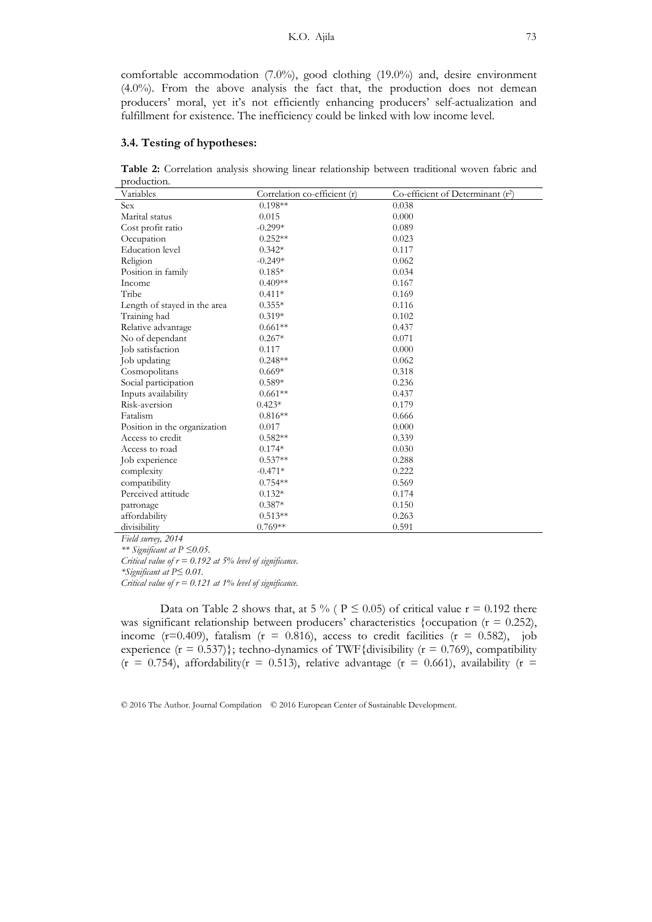comfortable accommodation (7.0%), good clothing (19.0%) and, desire environment (4.0%). From the above analysis the fact that, the production does not demean producers' moral, yet it's not efficiently enhancing producers' self-actualization and fulfillment for existence. The inefficiency could be linked with low income level.

# **3.4. Testing of hypotheses:**

**Table 2:** Correlation analysis showing linear relationship between traditional woven fabric and production.

| Variables                    | Correlation co-efficient (r) | Co-efficient of Determinant (r <sup>2</sup> ) |
|------------------------------|------------------------------|-----------------------------------------------|
| Sex                          | $0.198**$                    | 0.038                                         |
| Marital status               | 0.015                        | 0.000                                         |
| Cost profit ratio            | $-0.299*$                    | 0.089                                         |
| Occupation                   | $0.252**$                    | 0.023                                         |
| <b>Education</b> level       | $0.342*$                     | 0.117                                         |
| Religion                     | $-0.249*$                    | 0.062                                         |
| Position in family           | $0.185*$                     | 0.034                                         |
| Income                       | $0.409**$                    | 0.167                                         |
| Tribe                        | $0.411*$                     | 0.169                                         |
| Length of stayed in the area | $0.355*$                     | 0.116                                         |
| Training had                 | $0.319*$                     | 0.102                                         |
| Relative advantage           | $0.661**$                    | 0.437                                         |
| No of dependant              | $0.267*$                     | 0.071                                         |
| Job satisfaction             | 0.117                        | 0.000                                         |
| Job updating                 | $0.248**$                    | 0.062                                         |
| Cosmopolitans                | $0.669*$                     | 0.318                                         |
| Social participation         | $0.589*$                     | 0.236                                         |
| Inputs availability          | $0.661**$                    | 0.437                                         |
| Risk-aversion                | $0.423*$                     | 0.179                                         |
| Fatalism                     | $0.816**$                    | 0.666                                         |
| Position in the organization | 0.017                        | 0.000                                         |
| Access to credit             | $0.582**$                    | 0.339                                         |
| Access to road               | $0.174*$                     | 0.030                                         |
| Job experience               | $0.537**$                    | 0.288                                         |
| complexity                   | $-0.471*$                    | 0.222                                         |
| compatibility                | $0.754**$                    | 0.569                                         |
| Perceived attitude           | $0.132*$                     | 0.174                                         |
| patronage                    | $0.387*$                     | 0.150                                         |
| affordability                | $0.513**$                    | 0.263                                         |
| divisibility                 | $0.769**$                    | 0.591                                         |

*Field survey, 2014* 

*\*\* Significant at P ≤0.05.* 

*Critical value of r = 0.192 at 5% level of significance.* 

*\*Significant at P≤ 0.01.* 

*Critical value of r = 0.121 at 1% level of significance.* 

Data on Table 2 shows that, at 5 % ( $P \le 0.05$ ) of critical value  $r = 0.192$  there was significant relationship between producers' characteristics {occupation  $(r = 0.252)$ , income ( $r=0.409$ ), fatalism ( $r = 0.816$ ), access to credit facilities ( $r = 0.582$ ), job experience ( $r = 0.537$ ); techno-dynamics of TWF{divisibility ( $r = 0.769$ ), compatibility  $(r = 0.754)$ , affordability( $r = 0.513$ ), relative advantage ( $r = 0.661$ ), availability ( $r =$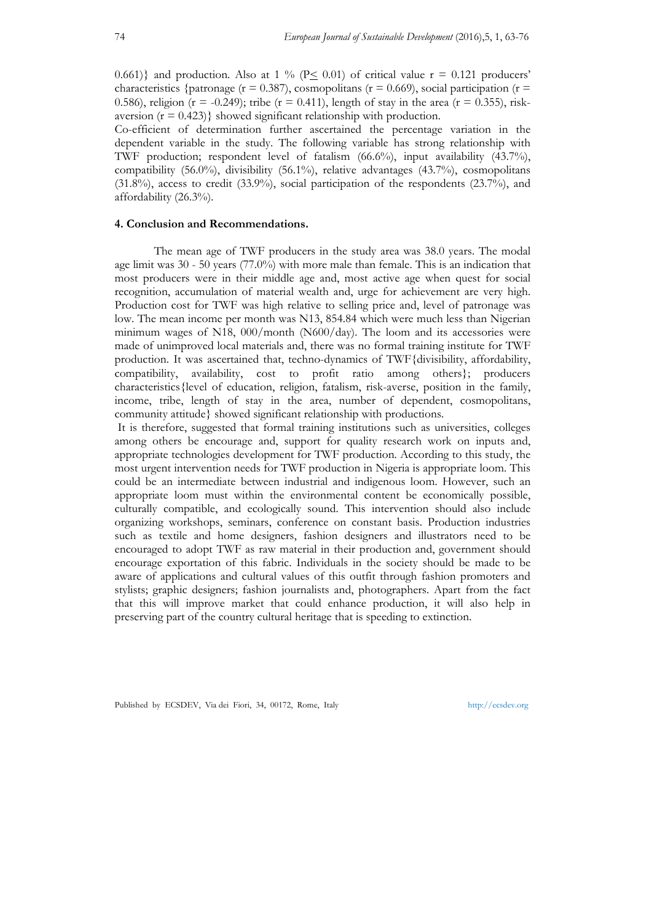0.661)} and production. Also at 1 % ( $P \le 0.01$ ) of critical value  $r = 0.121$  producers' characteristics {patronage ( $r = 0.387$ ), cosmopolitans ( $r = 0.669$ ), social participation ( $r =$ 0.586), religion ( $r = -0.249$ ); tribe ( $r = 0.411$ ), length of stay in the area ( $r = 0.355$ ), riskaversion  $(r = 0.423)$  showed significant relationship with production.

Co-efficient of determination further ascertained the percentage variation in the dependent variable in the study. The following variable has strong relationship with TWF production; respondent level of fatalism (66.6%), input availability (43.7%), compatibility (56.0%), divisibility (56.1%), relative advantages (43.7%), cosmopolitans  $(31.8\%)$ , access to credit  $(33.9\%)$ , social participation of the respondents  $(23.7\%)$ , and affordability (26.3%).

# **4. Conclusion and Recommendations.**

The mean age of TWF producers in the study area was 38.0 years. The modal age limit was 30 - 50 years (77.0%) with more male than female. This is an indication that most producers were in their middle age and, most active age when quest for social recognition, accumulation of material wealth and, urge for achievement are very high. Production cost for TWF was high relative to selling price and, level of patronage was low. The mean income per month was N13, 854.84 which were much less than Nigerian minimum wages of N18, 000/month (N600/day). The loom and its accessories were made of unimproved local materials and, there was no formal training institute for TWF production. It was ascertained that, techno-dynamics of TWF{divisibility, affordability, compatibility, availability, cost to profit ratio among others}; producers characteristics{level of education, religion, fatalism, risk-averse, position in the family, income, tribe, length of stay in the area, number of dependent, cosmopolitans, community attitude} showed significant relationship with productions.

 It is therefore, suggested that formal training institutions such as universities, colleges among others be encourage and, support for quality research work on inputs and, appropriate technologies development for TWF production. According to this study, the most urgent intervention needs for TWF production in Nigeria is appropriate loom. This could be an intermediate between industrial and indigenous loom. However, such an appropriate loom must within the environmental content be economically possible, culturally compatible, and ecologically sound. This intervention should also include organizing workshops, seminars, conference on constant basis. Production industries such as textile and home designers, fashion designers and illustrators need to be encouraged to adopt TWF as raw material in their production and, government should encourage exportation of this fabric. Individuals in the society should be made to be aware of applications and cultural values of this outfit through fashion promoters and stylists; graphic designers; fashion journalists and, photographers. Apart from the fact that this will improve market that could enhance production, it will also help in preserving part of the country cultural heritage that is speeding to extinction.